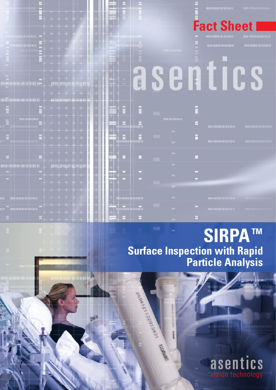|                     | <b>THE TELEVISION</b><br>$+ +$<br>干<br>$+ +$<br>the company of the company of the first that<br><b>Property of the Control Property and Control Control</b><br>$+ + + +$<br>aa siirkaa m                                                                                                                                                                  | --<br>一世間<br><b>Mariner</b><br>3年目                                                                                       |               |                                                                     | ▬         | <b>DECEMBER 2018 BENEFIELD</b><br><b>Fact Sheet</b><br>$\label{eq:3.1} \mathbf{1} \mathbf{2} \mathbf{3} \mathbf{3} \mathbf{4} \mathbf{1} \mathbf{3} \mathbf{1} \mathbf{1} \mathbf{4} \mathbf{1} \mathbf{3} \mathbf{1} \mathbf{4} \mathbf{1} \mathbf{1} \mathbf{1} \mathbf{1} \mathbf{1} \mathbf{1} \mathbf{1} \mathbf{1} \mathbf{1} \mathbf{1} \mathbf{1} \mathbf{1} \mathbf{1} \mathbf{1} \mathbf{1} \mathbf{1} \mathbf{1} \mathbf{1} \mathbf{1} \mathbf{1} \mathbf{1} \$ | 77.18.1<br>1910/100902-019-019 |
|---------------------|-----------------------------------------------------------------------------------------------------------------------------------------------------------------------------------------------------------------------------------------------------------------------------------------------------------------------------------------------------------|--------------------------------------------------------------------------------------------------------------------------|---------------|---------------------------------------------------------------------|-----------|----------------------------------------------------------------------------------------------------------------------------------------------------------------------------------------------------------------------------------------------------------------------------------------------------------------------------------------------------------------------------------------------------------------------------------------------------------------------------|--------------------------------|
|                     | $\mathbf{m}+\mathbf{r}+\mathbf{r}+\mathbf{r}$<br><b>COLOR</b><br>en ajouts<br>$+ + + +$<br>the contract in the con-<br><b>The Common</b><br><b>第十一十一十一</b><br>. <b>+</b> + +<br>H<br>and the contract process in the                                                                                                                                      | ٦M<br><b>SAMP</b><br><b>Per members</b><br>n III<br>川田村<br>Ħ<br><b>THE R</b>                                             |               | <b>SECRETARIA</b>                                                   | н         | <b>THE EXECUTIVE RESIDENCE</b>                                                                                                                                                                                                                                                                                                                                                                                                                                             | <b>THE SHELL BEEF RE</b>       |
| <u>r en l</u><br>mm | the property of the control of the<br><b>CONTRACTOR</b><br>H<br>$+ +$<br>ito de l'alla del del provenito del posso del provenito del provenito del provenito del provenito del provenit<br>and the company of the company<br><b>ISBN</b><br>, + + +<br>F   <del>T</del>                                                                                   | <b>PARTIES</b><br>m.<br>$\overline{\phantom{a}}$<br><b>Did and the Col</b><br><b>TUT</b><br>Ш<br>n en<br>U<br>THE R<br>w | Ğ             |                                                                     |           |                                                                                                                                                                                                                                                                                                                                                                                                                                                                            |                                |
| Ë                   | <b>IBR</b><br><b>IRE</b><br><b>Report Follows</b><br><b>The Mark</b><br>the property of the party of<br><b>TELEVISION</b><br><b>Brown hash</b><br>all the state<br><b>The Second</b><br><b>The State of State</b><br>$-1125$<br>the contract of the contract of the contract of the<br>the contract of the contract of<br><b>The Hotel</b>                | ш<br>≡н<br>H<br><b>REGISTER</b><br>一層<br>रा । र<br>Ш<br>a grand<br>$\bigcirc$<br>m<br>m                                  | ans a<br>. 2. | <b>DOS</b><br><b>BROKER WITH BELLEY</b>                             | E di<br>Ξ | <b>THE REPORT OF BUILDING</b>                                                                                                                                                                                                                                                                                                                                                                                                                                              | <b>THE MOTOR CONTRACT</b>      |
|                     | the party of the control of the<br>$ -$<br>гіт<br>m.<br><b>The Common</b><br>the subsequent and the substantial<br><u> De seu de la componentación de la componentación de la compo</u><br>+ + +<br>$+$ $+$                                                                                                                                               | H<br><b>September</b><br>i<br>神田<br>때<br><b>STATISTICS</b><br>m<br>- 5<br>÷                                              | Η<br>H        | <b>COL</b><br>$ 004\rangle$<br><b>FRT</b><br>me.                    | E<br>H    | <b>TERTHODAY REAL BEACH</b>                                                                                                                                                                                                                                                                                                                                                                                                                                                |                                |
|                     | $- + + + + +$<br>DO DE PARTICULAR IL QUI IT TOTAL DE L'ALIT<br>. – Throthmothn<br><b>Selling Print</b><br>The company of the company of<br><b>Contract Contract Contract Contract</b><br><b>Report Following Contracts</b><br>$-1$<br>- 11<br><b>The County</b><br><b>THE TELEVISION</b><br>se a possible e para<br><b>State State</b>                    | $\frac{1}{2}$<br>- 6<br>u.<br>m<br>Ξ<br><b>REGIS</b><br>a su<br>m<br>m<br>الماطا<br>w<br>ш                               | œ             | <b>DOS!</b><br>$100\,$<br>$\mathbf{H}_{\mathrm{c}}$<br><b>JULIE</b> | o<br>Ξ    |                                                                                                                                                                                                                                                                                                                                                                                                                                                                            |                                |
| m.                  | <b>CONTRACTOR</b><br>and the company of the control<br><b>The Contract Contract</b><br><b><i><u>INDUSTRIALES DE TRUES DE LA BATALLI</u></i></b><br>by other and the same<br>a jer<br><b>Read Book Control Control</b><br>.<br><b>The State</b><br>ir <sup>—</sup> skupskies i prawiera aktor <sup>–</sup><br><b>H</b><br>and the state and<br><b>ITEM</b> | - 18<br>1 - 3 - 3<br>rio maticiana<br>瞄<br>一期<br>m<br>a I<br>1998 Mars<br>76<br>TE I                                     | ara an Ta     | III.<br>887<br>$\mathbf{m}$ .                                       |           | <b><i>BURGHARD BERTH MANY</i></b><br><b>THE CHARACTER SERVICE</b>                                                                                                                                                                                                                                                                                                                                                                                                          |                                |
|                     | the other sites when<br>the property of the control                                                                                                                                                                                                                                                                                                       |                                                                                                                          | ÷             | <b>HILL</b>                                                         |           |                                                                                                                                                                                                                                                                                                                                                                                                                                                                            |                                |

EARCH (2P.013431

1200

# **TM SIRPA Surface Inspection with Rapid Particle Analysis**

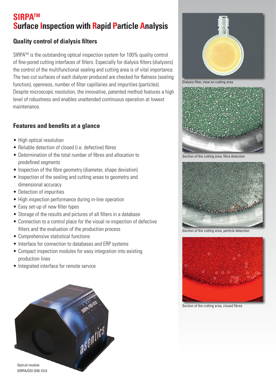### **SIRPATM Surface Inspection with Rapid Particle Analysis**

#### **Quality control of dialysis filters**

SIRPA™ is the outstanding optical inspection system for 100% quality control of fine-pored cutting interfaces of filters. Especially for dialysis filters (dialyzers) the control of the multifunctional sealing and cutting area is of vital importance. The two cut surfaces of each dialyzer produced are checked for flatness (sealing function), openness, number of filter capillaries and impurities (particles). Despite microscopic resolution, the innovative, patented method features a high level of robustness and enables unattended continuous operation at lowest maintenance.

#### **Features and benefits at a glance**

- High optical resolution
- Reliable detection of closed (i.e. defective) fibres
- Determination of the total number of fibres and allocation to predefined segments
- Inspection of the fibre geometry (diameter, shape deviation)
- Inspection of the sealing and cutting areas to geometry and dimensional accuracy
- Detection of impurities
- High inspection performance during in-line operation
- Easy set-up of new filter types
- Storage of the results and pictures of all filters in a database
- Connection to a control place for the visual re-inspection of defective filters and the evaluation of the production process
- Comprehensive statistical functions
- Interface for connection to databases and ERP systems
- Compact inspection modules for easy integration into existing production lines
- Integrated interface for remote service





Dialysis filter, view on cutting area



Section of the cutting area, fibre detection



Section of the cutting area, particle detection



Section of the cutting area, closed fibres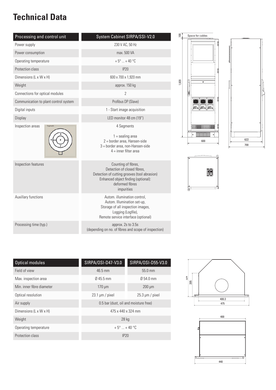## **Technical Data**

| Processing and control unit           | System Cabinet SIRPA/SSI-V2.0                                                                                                                                              |  |  |
|---------------------------------------|----------------------------------------------------------------------------------------------------------------------------------------------------------------------------|--|--|
| Power supply                          | 230 V AC, 50 Hz                                                                                                                                                            |  |  |
| Power consumption                     | max. 500 VA                                                                                                                                                                |  |  |
| Operating temperature                 | $+5^{\circ}$ + 40 $^{\circ}$ C                                                                                                                                             |  |  |
| Protection class                      | IP20                                                                                                                                                                       |  |  |
| Dimensions (L x W x H)                | 600 x 700 x 1,920 mm                                                                                                                                                       |  |  |
| Weight                                | approx. 150 kg                                                                                                                                                             |  |  |
| Connections for optical modules       | $\overline{2}$                                                                                                                                                             |  |  |
| Communication to plant control system | Profibus DP (Slave)                                                                                                                                                        |  |  |
| Digital inputs                        | 1 - Start image acquisition                                                                                                                                                |  |  |
| Display                               | LED monitor 48 cm (19")                                                                                                                                                    |  |  |
| Inspection areas<br>Segments          | 4 Segments<br>$1 =$ sealing area<br>2 = border area, Hansen-side<br>3 = border area, non-Hansen-side<br>$4 =$ inner filter area                                            |  |  |
| Inspection features                   | Counting of fibres,<br>Detection of closed fibres,<br>Detection of cutting grooves (tool abrasion)<br>Enhanced object finding (optional):<br>deformed fibres<br>impurities |  |  |
| Auxillary functions                   | Autom. illumination control.<br>Autom. Illumination set-up,<br>Storage of all inspection images,<br>Logging (Logfile),<br>Remote service interface (optional)              |  |  |
| Processing time (typ.)                | approx. 2s to 3.5s<br>(depending on no. of fibres and scope of inspection)                                                                                                 |  |  |







| 7-V3.O                        | SIRPA/USI-D55-V3.0                |  |
|-------------------------------|-----------------------------------|--|
|                               | 55.0 mm                           |  |
|                               | Ø 54.0 mm                         |  |
|                               | $200 \mu m$                       |  |
| kel                           | $25.3 \,\mathrm{\upmu m}$ / pixel |  |
| (dust, oil and moisture free) |                                   |  |
| 475 x 440 x 324 mm            |                                   |  |
| 28 kg                         |                                   |  |
|                               |                                   |  |



| Optical modules                    | SIRPA/OSI-D47-V3.0                    | SIRPA/OSI-D55-V3.0   |  |
|------------------------------------|---------------------------------------|----------------------|--|
| Field of view                      | $46.5$ mm                             | $55.0$ mm            |  |
| Max. inspection area               | $0.45.5$ mm                           | $\emptyset$ 54.0 mm  |  |
| Min. inner fibre diameter          | $170 \mu m$                           | $200 \mu m$          |  |
| Optical resolution                 | $23.1 \mu m$ / pixel                  | $25.3 \mu m / pixel$ |  |
| Air supply                         | 0.5 bar (dust, oil and moisture free) |                      |  |
| Dimensions $(L \times W \times H)$ | 475 x 440 x 324 mm                    |                      |  |
| Weight                             | 28 kg                                 |                      |  |
| Operating temperature              | $+5^{\circ}$ + 40 $^{\circ}$ C        |                      |  |
| Protection class                   | <b>IP20</b>                           |                      |  |